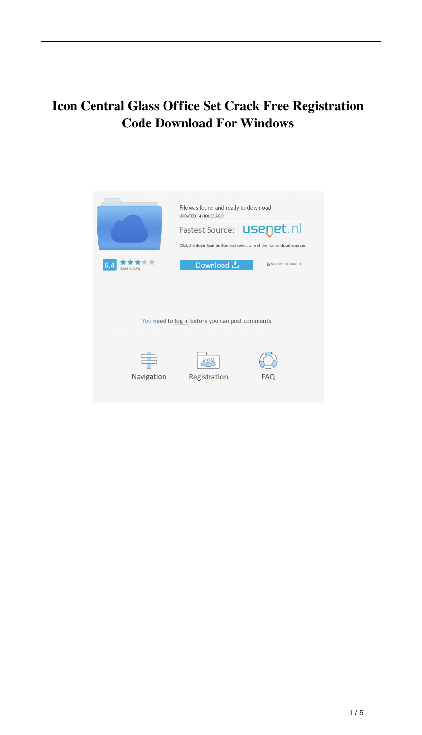# **Icon Central Glass Office Set Crack Free Registration Code Download For Windows**

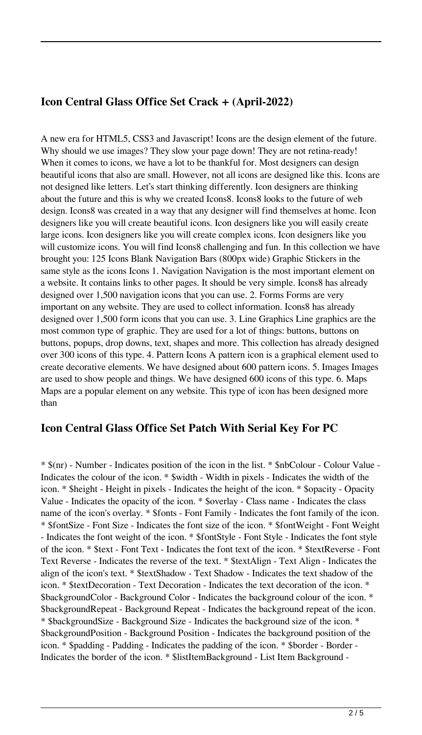## **Icon Central Glass Office Set Crack + (April-2022)**

A new era for HTML5, CSS3 and Javascript! Icons are the design element of the future. Why should we use images? They slow your page down! They are not retina-ready! When it comes to icons, we have a lot to be thankful for. Most designers can design beautiful icons that also are small. However, not all icons are designed like this. Icons are not designed like letters. Let's start thinking differently. Icon designers are thinking about the future and this is why we created Icons8. Icons8 looks to the future of web design. Icons8 was created in a way that any designer will find themselves at home. Icon designers like you will create beautiful icons. Icon designers like you will easily create large icons. Icon designers like you will create complex icons. Icon designers like you will customize icons. You will find Icons8 challenging and fun. In this collection we have brought you: 125 Icons Blank Navigation Bars (800px wide) Graphic Stickers in the same style as the icons Icons 1. Navigation Navigation is the most important element on a website. It contains links to other pages. It should be very simple. Icons8 has already designed over 1,500 navigation icons that you can use. 2. Forms Forms are very important on any website. They are used to collect information. Icons8 has already designed over 1,500 form icons that you can use. 3. Line Graphics Line graphics are the most common type of graphic. They are used for a lot of things: buttons, buttons on buttons, popups, drop downs, text, shapes and more. This collection has already designed over 300 icons of this type. 4. Pattern Icons A pattern icon is a graphical element used to create decorative elements. We have designed about 600 pattern icons. 5. Images Images are used to show people and things. We have designed 600 icons of this type. 6. Maps Maps are a popular element on any website. This type of icon has been designed more than

#### **Icon Central Glass Office Set Patch With Serial Key For PC**

\* \$(nr) - Number - Indicates position of the icon in the list. \* \$nbColour - Colour Value - Indicates the colour of the icon. \* \$width - Width in pixels - Indicates the width of the icon. \* \$height - Height in pixels - Indicates the height of the icon. \* \$opacity - Opacity Value - Indicates the opacity of the icon. \* \$overlay - Class name - Indicates the class name of the icon's overlay. \* \$fonts - Font Family - Indicates the font family of the icon. \* \$fontSize - Font Size - Indicates the font size of the icon. \* \$fontWeight - Font Weight - Indicates the font weight of the icon. \* \$fontStyle - Font Style - Indicates the font style of the icon. \* \$text - Font Text - Indicates the font text of the icon. \* \$textReverse - Font Text Reverse - Indicates the reverse of the text. \* \$textAlign - Text Align - Indicates the align of the icon's text. \* \$textShadow - Text Shadow - Indicates the text shadow of the icon. \* \$textDecoration - Text Decoration - Indicates the text decoration of the icon. \* \$backgroundColor - Background Color - Indicates the background colour of the icon. \* \$backgroundRepeat - Background Repeat - Indicates the background repeat of the icon. \* \$backgroundSize - Background Size - Indicates the background size of the icon. \* \$backgroundPosition - Background Position - Indicates the background position of the icon. \* \$padding - Padding - Indicates the padding of the icon. \* \$border - Border - Indicates the border of the icon. \* \$listItemBackground - List Item Background -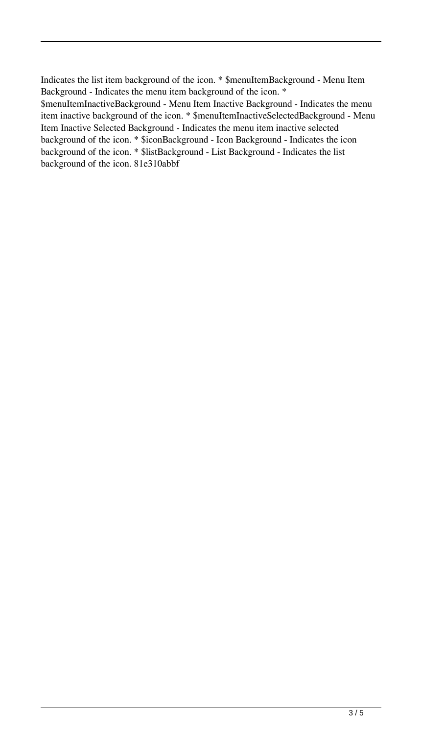Indicates the list item background of the icon. \* \$menuItemBackground - Menu Item Background - Indicates the menu item background of the icon. \* \$menuItemInactiveBackground - Menu Item Inactive Background - Indicates the menu item inactive background of the icon. \* \$menuItemInactiveSelectedBackground - Menu Item Inactive Selected Background - Indicates the menu item inactive selected background of the icon. \* \$iconBackground - Icon Background - Indicates the icon background of the icon. \* \$listBackground - List Background - Indicates the list background of the icon. 81e310abbf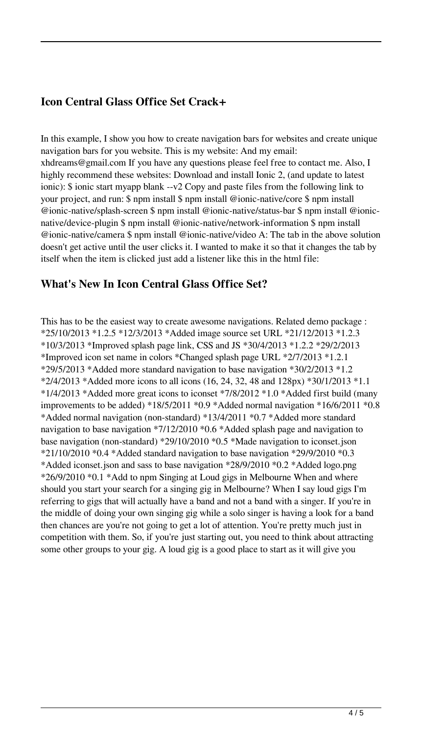## **Icon Central Glass Office Set Crack+**

In this example, I show you how to create navigation bars for websites and create unique navigation bars for you website. This is my website: And my email: xhdreams@gmail.com If you have any questions please feel free to contact me. Also, I highly recommend these websites: Download and install Ionic 2, (and update to latest ionic): \$ ionic start myapp blank --v2 Copy and paste files from the following link to your project, and run: \$ npm install \$ npm install @ionic-native/core \$ npm install @ionic-native/splash-screen \$ npm install @ionic-native/status-bar \$ npm install @ionicnative/device-plugin \$ npm install @ionic-native/network-information \$ npm install @ionic-native/camera \$ npm install @ionic-native/video A: The tab in the above solution doesn't get active until the user clicks it. I wanted to make it so that it changes the tab by itself when the item is clicked just add a listener like this in the html file:

#### **What's New In Icon Central Glass Office Set?**

This has to be the easiest way to create awesome navigations. Related demo package : \*25/10/2013 \*1.2.5 \*12/3/2013 \*Added image source set URL \*21/12/2013 \*1.2.3 \*10/3/2013 \*Improved splash page link, CSS and JS \*30/4/2013 \*1.2.2 \*29/2/2013 \*Improved icon set name in colors \*Changed splash page URL \*2/7/2013 \*1.2.1 \*29/5/2013 \*Added more standard navigation to base navigation \*30/2/2013 \*1.2 \*2/4/2013 \*Added more icons to all icons (16, 24, 32, 48 and 128px) \*30/1/2013 \*1.1 \*1/4/2013 \*Added more great icons to iconset \*7/8/2012 \*1.0 \*Added first build (many improvements to be added) \*18/5/2011 \*0.9 \*Added normal navigation \*16/6/2011 \*0.8 \*Added normal navigation (non-standard) \*13/4/2011 \*0.7 \*Added more standard navigation to base navigation \*7/12/2010 \*0.6 \*Added splash page and navigation to base navigation (non-standard) \*29/10/2010 \*0.5 \*Made navigation to iconset.json \*21/10/2010 \*0.4 \*Added standard navigation to base navigation \*29/9/2010 \*0.3 \*Added iconset.json and sass to base navigation \*28/9/2010 \*0.2 \*Added logo.png \*26/9/2010 \*0.1 \*Add to npm Singing at Loud gigs in Melbourne When and where should you start your search for a singing gig in Melbourne? When I say loud gigs I'm referring to gigs that will actually have a band and not a band with a singer. If you're in the middle of doing your own singing gig while a solo singer is having a look for a band then chances are you're not going to get a lot of attention. You're pretty much just in competition with them. So, if you're just starting out, you need to think about attracting some other groups to your gig. A loud gig is a good place to start as it will give you